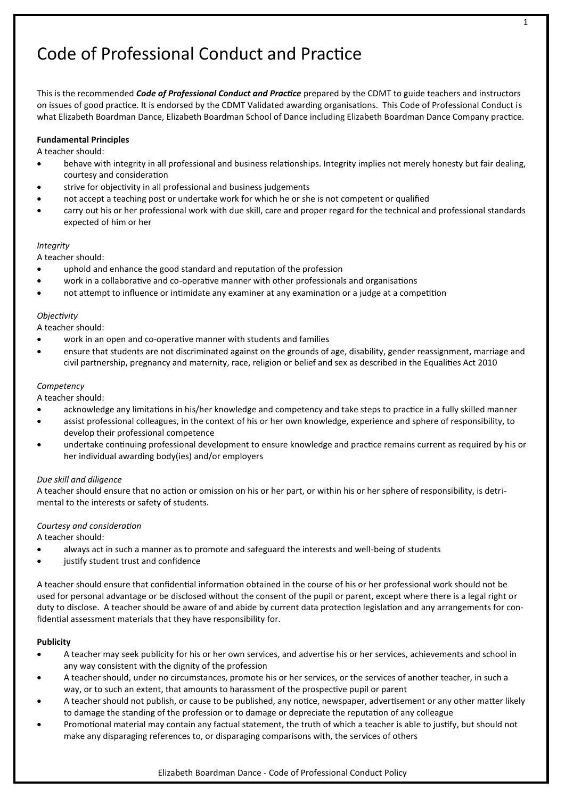# Code of Professional Conduct and Practice

This is the recommended *Code of Professional Conduct and Practice* prepared by the CDMT to guide teachers and instructors on issues of good practice. It is endorsed by the CDMT Validated awarding organisations. This Code of Professional Conduct is what Elizabeth Boardman Dance, Elizabeth Boardman School of Dance including Elizabeth Boardman Dance Company practice.

# **Fundamental Principles**

A teacher should:

- behave with integrity in all professional and business relationships. Integrity implies not merely honesty but fair dealing, courtesy and consideration
- strive for objectivity in all professional and business judgements
- not accept a teaching post or undertake work for which he or she is not competent or qualified
- carry out his or her professional work with due skill, care and proper regard for the technical and professional standards expected of him or her

## *Integrity*

A teacher should:

- uphold and enhance the good standard and reputation of the profession
- work in a collaborative and co-operative manner with other professionals and organisations
- not attempt to influence or intimidate any examiner at any examination or a judge at a competition

## *Objectivity*

A teacher should:

- work in an open and co-operative manner with students and families
- ensure that students are not discriminated against on the grounds of age, disability, gender reassignment, marriage and civil partnership, pregnancy and maternity, race, religion or belief and sex as described in the Equalities Act 2010

## *Competency*

A teacher should:

- acknowledge any limitations in his/her knowledge and competency and take steps to practice in a fully skilled manner
- assist professional colleagues, in the context of his or her own knowledge, experience and sphere of responsibility, to develop their professional competence
- undertake continuing professional development to ensure knowledge and practice remains current as required by his or her individual awarding body(ies) and/or employers

# *Due skill and diligence*

A teacher should ensure that no action or omission on his or her part, or within his or her sphere of responsibility, is detrimental to the interests or safety of students.

# *Courtesy and consideration*

A teacher should:

- always act in such a manner as to promote and safeguard the interests and well-being of students
- justify student trust and confidence

A teacher should ensure that confidential information obtained in the course of his or her professional work should not be used for personal advantage or be disclosed without the consent of the pupil or parent, except where there is a legal right or duty to disclose. A teacher should be aware of and abide by current data protection legislation and any arrangements for confidential assessment materials that they have responsibility for.

# **Publicity**

- A teacher may seek publicity for his or her own services, and advertise his or her services, achievements and school in any way consistent with the dignity of the profession
- A teacher should, under no circumstances, promote his or her services, or the services of another teacher, in such a way, or to such an extent, that amounts to harassment of the prospective pupil or parent
- A teacher should not publish, or cause to be published, any notice, newspaper, advertisement or any other matter likely to damage the standing of the profession or to damage or depreciate the reputation of any colleague
- Promotional material may contain any factual statement, the truth of which a teacher is able to justify, but should not make any disparaging references to, or disparaging comparisons with, the services of others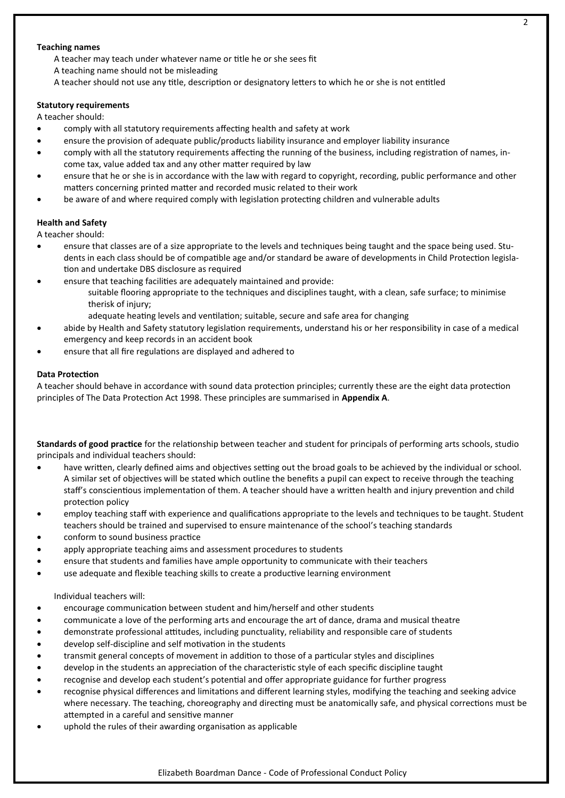#### $\mathfrak{p}$

#### **Teaching names**

- A teacher may teach under whatever name or title he or she sees fit
- A teaching name should not be misleading
- A teacher should not use any title, description or designatory letters to which he or she is not entitled

#### **Statutory requirements**

A teacher should:

- comply with all statutory requirements affecting health and safety at work
- ensure the provision of adequate public/products liability insurance and employer liability insurance
- comply with all the statutory requirements affecting the running of the business, including registration of names, income tax, value added tax and any other matter required by law
- ensure that he or she is in accordance with the law with regard to copyright, recording, public performance and other matters concerning printed matter and recorded music related to their work
- be aware of and where required comply with legislation protecting children and vulnerable adults

#### **Health and Safety**

A teacher should:

- ensure that classes are of a size appropriate to the levels and techniques being taught and the space being used. Students in each class should be of compatible age and/or standard be aware of developments in Child Protection legislation and undertake DBS disclosure as required
- ensure that teaching facilities are adequately maintained and provide:
	- suitable flooring appropriate to the techniques and disciplines taught, with a clean, safe surface; to minimise therisk of injury;
	- adequate heating levels and ventilation; suitable, secure and safe area for changing
- abide by Health and Safety statutory legislation requirements, understand his or her responsibility in case of a medical emergency and keep records in an accident book
- ensure that all fire regulations are displayed and adhered to

#### **Data Protection**

A teacher should behave in accordance with sound data protection principles; currently these are the eight data protection principles of The Data Protection Act 1998. These principles are summarised in **Appendix A**.

**Standards of good practice** for the relationship between teacher and student for principals of performing arts schools, studio principals and individual teachers should:

- have written, clearly defined aims and objectives setting out the broad goals to be achieved by the individual or school. A similar set of objectives will be stated which outline the benefits a pupil can expect to receive through the teaching staff's conscientious implementation of them. A teacher should have a written health and injury prevention and child protection policy
- employ teaching staff with experience and qualifications appropriate to the levels and techniques to be taught. Student teachers should be trained and supervised to ensure maintenance of the school's teaching standards
- conform to sound business practice
- apply appropriate teaching aims and assessment procedures to students
- ensure that students and families have ample opportunity to communicate with their teachers
- use adequate and flexible teaching skills to create a productive learning environment

#### Individual teachers will:

- encourage communication between student and him/herself and other students
- communicate a love of the performing arts and encourage the art of dance, drama and musical theatre
- demonstrate professional attitudes, including punctuality, reliability and responsible care of students
- develop self-discipline and self motivation in the students
- transmit general concepts of movement in addition to those of a particular styles and disciplines
- develop in the students an appreciation of the characteristic style of each specific discipline taught
- recognise and develop each student's potential and offer appropriate guidance for further progress
- recognise physical differences and limitations and different learning styles, modifying the teaching and seeking advice where necessary. The teaching, choreography and directing must be anatomically safe, and physical corrections must be attempted in a careful and sensitive manner
- uphold the rules of their awarding organisation as applicable